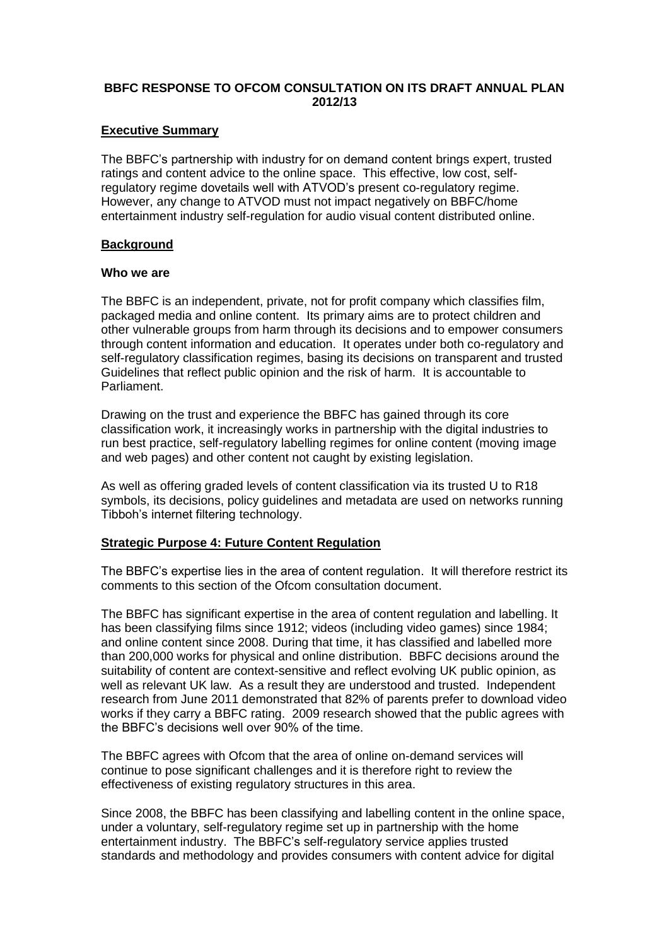# **BBFC RESPONSE TO OFCOM CONSULTATION ON ITS DRAFT ANNUAL PLAN 2012/13**

### **Executive Summary**

The BBFC's partnership with industry for on demand content brings expert, trusted ratings and content advice to the online space. This effective, low cost, selfregulatory regime dovetails well with ATVOD's present co-regulatory regime. However, any change to ATVOD must not impact negatively on BBFC/home entertainment industry self-regulation for audio visual content distributed online.

# **Background**

# **Who we are**

The BBFC is an independent, private, not for profit company which classifies film, packaged media and online content. Its primary aims are to protect children and other vulnerable groups from harm through its decisions and to empower consumers through content information and education. It operates under both co-regulatory and self-regulatory classification regimes, basing its decisions on transparent and trusted Guidelines that reflect public opinion and the risk of harm. It is accountable to Parliament.

Drawing on the trust and experience the BBFC has gained through its core classification work, it increasingly works in partnership with the digital industries to run best practice, self-regulatory labelling regimes for online content (moving image and web pages) and other content not caught by existing legislation.

As well as offering graded levels of content classification via its trusted U to R18 symbols, its decisions, policy guidelines and metadata are used on networks running Tibboh's internet filtering technology.

# **Strategic Purpose 4: Future Content Regulation**

The BBFC's expertise lies in the area of content regulation. It will therefore restrict its comments to this section of the Ofcom consultation document.

The BBFC has significant expertise in the area of content regulation and labelling. It has been classifying films since 1912; videos (including video games) since 1984; and online content since 2008. During that time, it has classified and labelled more than 200,000 works for physical and online distribution. BBFC decisions around the suitability of content are context-sensitive and reflect evolving UK public opinion, as well as relevant UK law. As a result they are understood and trusted. Independent research from June 2011 demonstrated that 82% of parents prefer to download video works if they carry a BBFC rating. 2009 research showed that the public agrees with the BBFC's decisions well over 90% of the time.

The BBFC agrees with Ofcom that the area of online on-demand services will continue to pose significant challenges and it is therefore right to review the effectiveness of existing regulatory structures in this area.

Since 2008, the BBFC has been classifying and labelling content in the online space, under a voluntary, self-regulatory regime set up in partnership with the home entertainment industry. The BBFC's self-regulatory service applies trusted standards and methodology and provides consumers with content advice for digital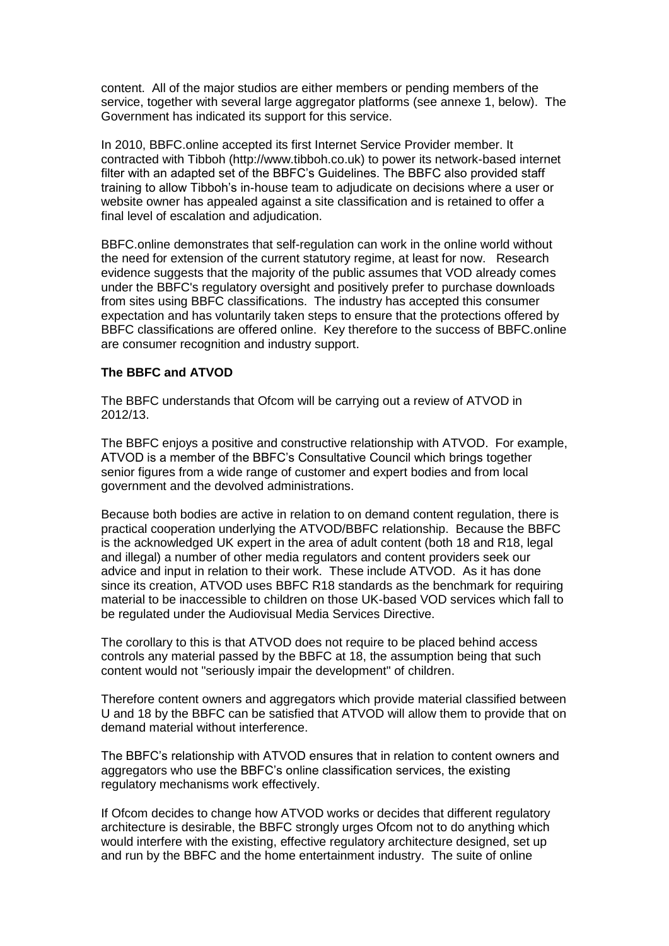content. All of the major studios are either members or pending members of the service, together with several large aggregator platforms (see annexe 1, below). The Government has indicated its support for this service.

In 2010, BBFC.online accepted its first Internet Service Provider member. It contracted with Tibboh (http://www.tibboh.co.uk) to power its network-based internet filter with an adapted set of the BBFC's Guidelines. The BBFC also provided staff training to allow Tibboh's in-house team to adjudicate on decisions where a user or website owner has appealed against a site classification and is retained to offer a final level of escalation and adjudication.

BBFC.online demonstrates that self-regulation can work in the online world without the need for extension of the current statutory regime, at least for now. Research evidence suggests that the majority of the public assumes that VOD already comes under the BBFC's regulatory oversight and positively prefer to purchase downloads from sites using BBFC classifications. The industry has accepted this consumer expectation and has voluntarily taken steps to ensure that the protections offered by BBFC classifications are offered online. Key therefore to the success of BBFC.online are consumer recognition and industry support.

# **The BBFC and ATVOD**

The BBFC understands that Ofcom will be carrying out a review of ATVOD in 2012/13.

The BBFC enjoys a positive and constructive relationship with ATVOD. For example, ATVOD is a member of the BBFC's Consultative Council which brings together senior figures from a wide range of customer and expert bodies and from local government and the devolved administrations.

Because both bodies are active in relation to on demand content regulation, there is practical cooperation underlying the ATVOD/BBFC relationship. Because the BBFC is the acknowledged UK expert in the area of adult content (both 18 and R18, legal and illegal) a number of other media regulators and content providers seek our advice and input in relation to their work. These include ATVOD. As it has done since its creation, ATVOD uses BBFC R18 standards as the benchmark for requiring material to be inaccessible to children on those UK-based VOD services which fall to be regulated under the Audiovisual Media Services Directive.

The corollary to this is that ATVOD does not require to be placed behind access controls any material passed by the BBFC at 18, the assumption being that such content would not "seriously impair the development" of children.

Therefore content owners and aggregators which provide material classified between U and 18 by the BBFC can be satisfied that ATVOD will allow them to provide that on demand material without interference.

The BBFC's relationship with ATVOD ensures that in relation to content owners and aggregators who use the BBFC's online classification services, the existing regulatory mechanisms work effectively.

If Ofcom decides to change how ATVOD works or decides that different regulatory architecture is desirable, the BBFC strongly urges Ofcom not to do anything which would interfere with the existing, effective regulatory architecture designed, set up and run by the BBFC and the home entertainment industry. The suite of online